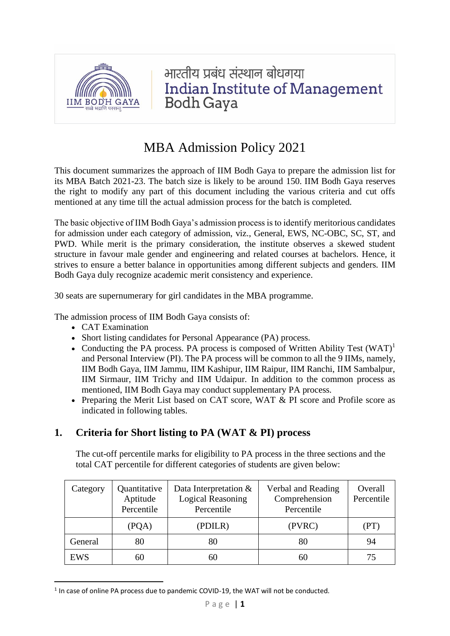

भारतीय प्रबंध संस्थान बोधगया **Indian Institute of Management Bodh Gaya** 

# MBA Admission Policy 2021

This document summarizes the approach of IIM Bodh Gaya to prepare the admission list for its MBA Batch 2021-23. The batch size is likely to be around 150. IIM Bodh Gaya reserves the right to modify any part of this document including the various criteria and cut offs mentioned at any time till the actual admission process for the batch is completed.

The basic objective of IIM Bodh Gaya's admission process is to identify meritorious candidates for admission under each category of admission, viz., General, EWS, NC-OBC, SC, ST, and PWD. While merit is the primary consideration, the institute observes a skewed student structure in favour male gender and engineering and related courses at bachelors. Hence, it strives to ensure a better balance in opportunities among different subjects and genders. IIM Bodh Gaya duly recognize academic merit consistency and experience.

30 seats are supernumerary for girl candidates in the MBA programme.

The admission process of IIM Bodh Gaya consists of:

- CAT Examination
- Short listing candidates for Personal Appearance (PA) process.
- Conducting the PA process. PA process is composed of Written Ability Test  $(WAT)^1$ and Personal Interview (PI). The PA process will be common to all the 9 IIMs, namely, IIM Bodh Gaya, IIM Jammu, IIM Kashipur, IIM Raipur, IIM Ranchi, IIM Sambalpur, IIM Sirmaur, IIM Trichy and IIM Udaipur. In addition to the common process as mentioned, IIM Bodh Gaya may conduct supplementary PA process.
- Preparing the Merit List based on CAT score, WAT & PI score and Profile score as indicated in following tables.

# **1. Criteria for Short listing to PA (WAT & PI) process**

The cut-off percentile marks for eligibility to PA process in the three sections and the total CAT percentile for different categories of students are given below:

| Category | Quantitative<br>Aptitude<br>Percentile | Data Interpretation $&$<br><b>Logical Reasoning</b><br>Percentile | Verbal and Reading<br>Comprehension<br>Percentile | Overall<br>Percentile |
|----------|----------------------------------------|-------------------------------------------------------------------|---------------------------------------------------|-----------------------|
|          | (PQA)                                  | (PDILR)                                                           | (PVRC)                                            | (PT)                  |
| General  | 80                                     | 80                                                                | 80                                                | 94                    |
| EWS      | 60                                     | 60                                                                | 60                                                |                       |

 $<sup>1</sup>$  In case of online PA process due to pandemic COVID-19, the WAT will not be conducted.</sup>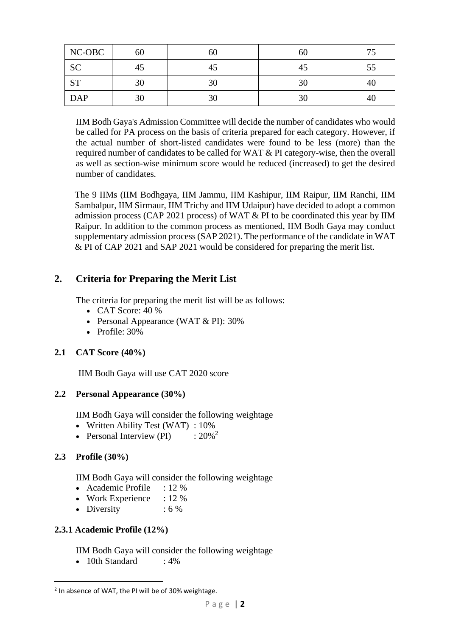| NC-OBC     | 60 | 60 | 60 |    |
|------------|----|----|----|----|
| <b>SC</b>  | 45 | 45 | 45 |    |
| <b>ST</b>  | 30 | 30 | 30 | 40 |
| <b>DAP</b> | 30 | 30 | 30 | 4U |

IIM Bodh Gaya's Admission Committee will decide the number of candidates who would be called for PA process on the basis of criteria prepared for each category. However, if the actual number of short-listed candidates were found to be less (more) than the required number of candidates to be called for WAT & PI category-wise, then the overall as well as section-wise minimum score would be reduced (increased) to get the desired number of candidates.

The 9 IIMs (IIM Bodhgaya, IIM Jammu, IIM Kashipur, IIM Raipur, IIM Ranchi, IIM Sambalpur, IIM Sirmaur, IIM Trichy and IIM Udaipur) have decided to adopt a common admission process (CAP 2021 process) of WAT & PI to be coordinated this year by IIM Raipur. In addition to the common process as mentioned, IIM Bodh Gaya may conduct supplementary admission process(SAP 2021). The performance of the candidate in WAT & PI of CAP 2021 and SAP 2021 would be considered for preparing the merit list.

# **2. Criteria for Preparing the Merit List**

The criteria for preparing the merit list will be as follows:

- CAT Score:  $40\%$
- Personal Appearance (WAT & PI): 30%
- Profile: 30%

# **2.1 CAT Score (40%)**

IIM Bodh Gaya will use CAT 2020 score

# **2.2 Personal Appearance (30%)**

IIM Bodh Gaya will consider the following weightage

- Written Ability Test (WAT):  $10\%$
- Personal Interview (PI)  $\therefore 20\%^2$

# **2.3 Profile (30%)**

IIM Bodh Gaya will consider the following weightage

- Academic Profile : 12 %
- Work Experience :  $12\%$
- Diversity : 6 %

# **2.3.1 Academic Profile (12%)**

IIM Bodh Gaya will consider the following weightage

• 10th Standard : 4%

<sup>&</sup>lt;sup>2</sup> In absence of WAT, the PI will be of 30% weightage.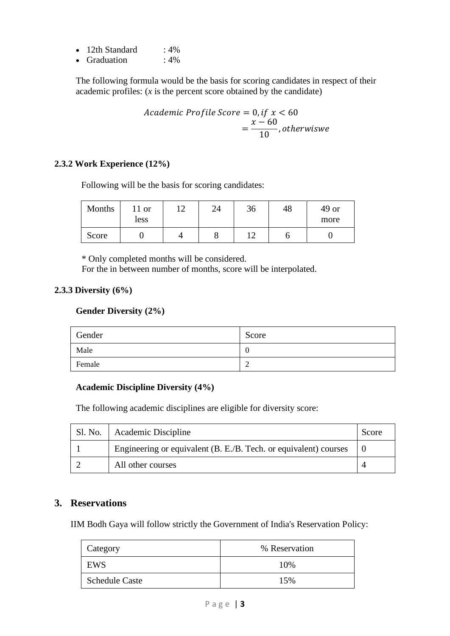| 12th Standard | $:4\%$ |
|---------------|--------|
| Graduation    | $:4\%$ |

The following formula would be the basis for scoring candidates in respect of their academic profiles: (*x* is the percent score obtained by the candidate)

Academic Profile Score = 0, if 
$$
x < 60
$$
  
=  $\frac{x - 60}{10}$ , otherwise

#### **2.3.2 Work Experience (12%)**

Following will be the basis for scoring candidates:

| Months | $11$ or<br>less | 24 | 36  | 48 | $49$ or<br>more |
|--------|-----------------|----|-----|----|-----------------|
| Score  |                 |    | 1 ^ |    |                 |

\* Only completed months will be considered.

For the in between number of months, score will be interpolated.

#### **2.3.3 Diversity (6%)**

#### **Gender Diversity (2%)**

| Gender | Score |
|--------|-------|
| Male   | ∪     |
| Female |       |

#### **Academic Discipline Diversity (4%)**

The following academic disciplines are eligible for diversity score:

| Sl. No. | Academic Discipline                                              | Score |
|---------|------------------------------------------------------------------|-------|
|         | Engineering or equivalent (B. E./B. Tech. or equivalent) courses |       |
|         | All other courses                                                |       |

#### **3. Reservations**

IIM Bodh Gaya will follow strictly the Government of India's Reservation Policy:

| Category              | % Reservation |
|-----------------------|---------------|
| EWS                   | 10%           |
| <b>Schedule Caste</b> | 15%           |